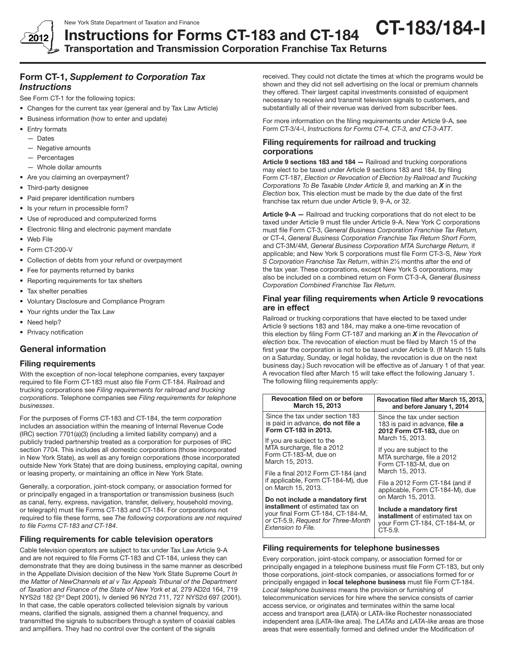

## New York State Department of Taxation and Finance Instructions for Forms CT-183 and CT-184 CT-183/184-I

Transportation and Transmission Corporation Franchise Tax Returns

## Form CT-1, *Supplement to Corporation Tax Instructions*

See Form CT-1 for the following topics:

- Changes for the current tax year (general and by Tax Law Article)
- • Business information (how to enter and update)
- Entry formats
	- Dates
	- — Negative amounts
	- Percentages
	- Whole dollar amounts
- Are you claiming an overpayment?
- Third-party designee
- Paid preparer identification numbers
- Is your return in processible form?
- • Use of reproduced and computerized forms
- Electronic filing and electronic payment mandate
- • Web File
- Form CT-200-V
- Collection of debts from your refund or overpayment
- Fee for payments returned by banks
- Reporting requirements for tax shelters
- Tax shelter penalties
- • Voluntary Disclosure and Compliance Program
- • Your rights under the Tax Law
- Need help?
- Privacy notification

## General information

## Filing requirements

With the exception of non-local telephone companies, every taxpayer required to file Form CT-183 must also file Form CT-184. Railroad and trucking corporations see *Filing requirements for railroad and trucking corporations*. Telephone companies see *Filing requirements for telephone businesses*.

For the purposes of Forms CT-183 and CT-184, the term *corporation* includes an association within the meaning of Internal Revenue Code (IRC) section 7701(a)(3) (including a limited liability company) and a publicly traded partnership treated as a corporation for purposes of IRC section 7704. This includes all domestic corporations (those incorporated in New York State), as well as any foreign corporations (those incorporated outside New York State) that are doing business, employing capital, owning or leasing property, or maintaining an office in New York State.

Generally, a corporation, joint-stock company, or association formed for or principally engaged in a transportation or transmission business (such as canal, ferry, express, navigation, transfer, delivery, household moving, or telegraph) must file Forms CT-183 and CT-184. For corporations not required to file these forms, see *The following corporations are not required to file Forms CT-183 and CT-184*.

## Filing requirements for cable television operators

Cable television operators are subject to tax under Tax Law Article 9-A and are not required to file Forms CT-183 and CT-184, unless they can demonstrate that they are doing business in the same manner as described in the Appellate Division decision of the New York State Supreme Court *In the Matter of NewChannels et al v Tax Appeals Tribunal of the Department of Taxation and Finance of the State of New York et al,* 279 AD2d 164, 719 NYS2d 182 (3rd Dept 2001), lv denied 96 NY2d 711, 727 NYS2d 697 (2001). In that case, the cable operators collected television signals by various means, clarified the signals, assigned them a channel frequency, and transmitted the signals to subscribers through a system of coaxial cables and amplifiers. They had no control over the content of the signals

received. They could not dictate the times at which the programs would be shown and they did not sell advertising on the local or premium channels they offered. Their largest capital investments consisted of equipment necessary to receive and transmit television signals to customers, and substantially all of their revenue was derived from subscriber fees.

For more information on the filing requirements under Article 9‑A, see Form CT‑3/4‑I, *Instructions for Forms CT-4, CT-3, and CT-3-ATT*.

## Filing requirements for railroad and trucking corporations

Article 9 sections 183 and 184 – Railroad and trucking corporations may elect to be taxed under Article 9 sections 183 and 184, by filing Form CT-187, *Election or Revocation of Election by Railroad and Trucking Corporations To Be Taxable Under Article 9,* and marking an *X* in the *Election* box. This election must be made by the due date of the first franchise tax return due under Article 9, 9-A, or 32.

Article 9-A – Railroad and trucking corporations that do not elect to be taxed under Article 9 must file under Article 9-A. New York C corporations must file Form CT-3, *General Business Corporation Franchise Tax Return,*  or CT-4, *General Business Corporation Franchise Tax Return Short Form,*  and CT-3M/4M, *General Business Corporation MTA Surcharge Return,* if applicable; and New York S corporations must file Form CT-3-S, *New York S Corporation Franchise Tax Return*, within 2½ months after the end of the tax year. These corporations, except New York S corporations, may also be included on a combined return on Form CT‑3-A, *General Business Corporation Combined Franchise Tax Return*.

## Final year filing requirements when Article 9 revocations are in effect

Railroad or trucking corporations that have elected to be taxed under Article 9 sections 183 and 184, may make a one-time revocation of this election by filing Form CT-187 and marking an *X* in the *Revocation of election* box. The revocation of election must be filed by March 15 of the first year the corporation is not to be taxed under Article 9. (If March 15 falls on a Saturday, Sunday, or legal holiday, the revocation is due on the next business day.) Such revocation will be effective as of January 1 of that year. A revocation filed after March 15 will take effect the following January 1. The following filing requirements apply:

| <b>Revocation filed on or before</b><br>March 15, 2013                                                                                                               | Revocation filed after March 15, 2013,<br>and before January 1, 2014                                                                                                                                                                                                                      |  |
|----------------------------------------------------------------------------------------------------------------------------------------------------------------------|-------------------------------------------------------------------------------------------------------------------------------------------------------------------------------------------------------------------------------------------------------------------------------------------|--|
| Since the tax under section 183<br>is paid in advance, do not file a<br>Form CT-183 in 2013.                                                                         | Since the tax under section<br>183 is paid in advance, file a<br>2012 Form CT-183, due on<br>March 15, 2013.<br>If you are subject to the<br>MTA surcharge, file a 2012<br>Form CT-183-M, due on<br>March 15, 2013.<br>File a 2012 Form CT-184 (and if<br>applicable, Form CT-184-M), due |  |
| If you are subject to the<br>MTA surcharge, file a 2012<br>Form CT-183-M, due on<br>March 15, 2013.                                                                  |                                                                                                                                                                                                                                                                                           |  |
| File a final 2012 Form CT-184 (and<br>if applicable, Form CT-184-M), due<br>on March 15, 2013.                                                                       |                                                                                                                                                                                                                                                                                           |  |
| Do not include a mandatory first<br>installment of estimated tax on<br>your final Form CT-184, CT-184-M,<br>or CT-5.9, Request for Three-Month<br>Extension to File. | on March 15, 2013.<br>Include a mandatory first<br><b>installment</b> of estimated tax on<br>vour Form CT-184, CT-184-M, or<br>CT-5.9.                                                                                                                                                    |  |

## Filing requirements for telephone businesses

Every corporation, joint-stock company, or association formed for or principally engaged in a telephone business must file Form CT-183, but only those corporations, joint-stock companies, or associations formed for or principally engaged in local telephone business must file Form CT-184. *Local telephone business* means the provision or furnishing of telecommunication services for hire where the service consists of carrier access service, or originates and terminates within the same local access and transport area (LATA) or LATA-like Rochester nonassociated independent area (LATA-like area). The *LATAs* and *LATA-like* areas are those areas that were essentially formed and defined under the Modification of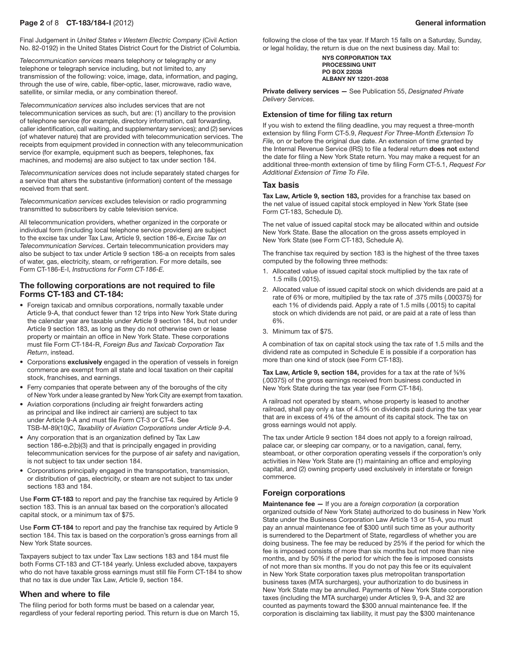Final Judgement in *United States v Western Electric Company* (Civil Action No. 82-0192) in the United States District Court for the District of Columbia.

*Telecommunication services* means telephony or telegraphy or any telephone or telegraph service including, but not limited to, any transmission of the following: voice, image, data, information, and paging, through the use of wire, cable, fiber-optic, laser, microwave, radio wave, satellite, or similar media, or any combination thereof.

*Telecommunication services* also includes services that are not telecommunication services as such, but are: (1) ancillary to the provision of telephone service (for example, directory information, call forwarding, caller identification, call waiting, and supplementary services); and (2) services (of whatever nature) that are provided with telecommunication services. The receipts from equipment provided in connection with any telecommunication service (for example, equipment such as beepers, telephones, fax machines, and modems) are also subject to tax under section 184.

*Telecommunication services* does not include separately stated charges for a service that alters the substantive (information) content of the message received from that sent.

*Telecommunication services* excludes television or radio programming transmitted to subscribers by cable television service.

All telecommunication providers, whether organized in the corporate or individual form (including local telephone service providers) are subject to the excise tax under Tax Law, Article 9, section 186-e, *Excise Tax on Telecommunication Services*. Certain telecommunication providers may also be subject to tax under Article 9 section 186-a on receipts from sales of water, gas, electricity, steam, or refrigeration. For more details, see Form CT-186-E-I, *Instructions for Form CT-186-E.*

## The following corporations are not required to file Forms CT-183 and CT-184:

- Foreign taxicab and omnibus corporations, normally taxable under Article 9-A, that conduct fewer than 12 trips into New York State during the calendar year are taxable under Article 9 section 184, but not under Article 9 section 183, as long as they do not otherwise own or lease property or maintain an office in New York State. These corporations must file Form CT-184-R, *Foreign Bus and Taxicab Corporation Tax Return*, instead.
- Corporations exclusively engaged in the operation of vessels in foreign commerce are exempt from all state and local taxation on their capital stock, franchises, and earnings.
- Ferry companies that operate between any of the boroughs of the city of New York under a lease granted by New York City are exempt from taxation.
- Aviation corporations (including air freight forwarders acting as principal and like indirect air carriers) are subject to tax under Article 9-A and must file Form CT-3 or CT-4. See TSB-M-89(10)C, *Taxability of Aviation Corporations under Article 9-A*.
- Any corporation that is an organization defined by Tax Law section 186-e.2(b)(3) and that is principally engaged in providing telecommunication services for the purpose of air safety and navigation, is not subject to tax under section 184.
- Corporations principally engaged in the transportation, transmission, or distribution of gas, electricity, or steam are not subject to tax under sections 183 and 184.

Use Form CT-183 to report and pay the franchise tax required by Article 9 section 183. This is an annual tax based on the corporation's allocated capital stock, or a minimum tax of \$75.

Use Form CT-184 to report and pay the franchise tax required by Article 9 section 184. This tax is based on the corporation's gross earnings from all New York State sources.

Taxpayers subject to tax under Tax Law sections 183 and 184 must file both Forms CT-183 and CT-184 yearly. Unless excluded above, taxpayers who do not have taxable gross earnings must still file Form CT-184 to show that no tax is due under Tax Law, Article 9, section 184.

## When and where to file

The filing period for both forms must be based on a calendar year, regardless of your federal reporting period. This return is due on March 15, following the close of the tax year. If March 15 falls on a Saturday, Sunday, or legal holiday, the return is due on the next business day. Mail to:

> NYS CORPORATION TAX PROCESSING UNIT PO BOX 22038 ALBANY NY 12201-2038

Private delivery services — See Publication 55, *Designated Private Delivery Services.*

#### Extension of time for filing tax return

If you wish to extend the filing deadline, you may request a three-month extension by filing Form CT-5.9, *Request For Three-Month Extension To File,* on or before the original due date. An extension of time granted by the Internal Revenue Service (IRS) to file a federal return does not extend the date for filing a New York State return. You may make a request for an additional three‑month extension of time by filing Form CT‑5.1, *Request For Additional Extension of Time To File*.

### Tax basis

Tax Law, Article 9, section 183, provides for a franchise tax based on the net value of issued capital stock employed in New York State (see Form CT‑183, Schedule D).

The net value of issued capital stock may be allocated within and outside New York State. Base the allocation on the gross assets employed in New York State (see Form CT-183, Schedule A).

The franchise tax required by section 183 is the highest of the three taxes computed by the following three methods:

- 1. Allocated value of issued capital stock multiplied by the tax rate of 1.5 mills (.0015).
- 2. Allocated value of issued capital stock on which dividends are paid at a rate of 6% or more, multiplied by the tax rate of .375 mills (.000375) for each 1% of dividends paid. Apply a rate of 1.5 mills (.0015) to capital stock on which dividends are not paid, or are paid at a rate of less than 6%.
- 3. Minimum tax of \$75.

A combination of tax on capital stock using the tax rate of 1.5 mills and the dividend rate as computed in Schedule E is possible if a corporation has more than one kind of stock (see Form CT-183).

Tax Law, Article 9, section 184, provides for a tax at the rate of  $%$ % (.00375) of the gross earnings received from business conducted in New York State during the tax year (see Form CT-184).

A railroad not operated by steam, whose property is leased to another railroad, shall pay only a tax of 4.5% on dividends paid during the tax year that are in excess of 4% of the amount of its capital stock. The tax on gross earnings would not apply.

The tax under Article 9 section 184 does not apply to a foreign railroad, palace car, or sleeping car company, or to a navigation, canal, ferry, steamboat, or other corporation operating vessels if the corporation's only activities in New York State are (1) maintaining an office and employing capital, and (2) owning property used exclusively in interstate or foreign commerce.

## Foreign corporations

Maintenance fee — If you are a *foreign corporation* (a corporation organized outside of New York State) authorized to do business in New York State under the Business Corporation Law Article 13 or 15-A, you must pay an annual maintenance fee of \$300 until such time as your authority is surrendered to the Department of State, regardless of whether you are doing business. The fee may be reduced by 25% if the period for which the fee is imposed consists of more than six months but not more than nine months, and by 50% if the period for which the fee is imposed consists of not more than six months. If you do not pay this fee or its equivalent in New York State corporation taxes plus metropolitan transportation business taxes (MTA surcharges), your authorization to do business in New York State may be annulled. Payments of New York State corporation taxes (including the MTA surcharge) under Articles 9, 9-A, and 32 are counted as payments toward the \$300 annual maintenance fee. If the corporation is disclaiming tax liability, it must pay the \$300 maintenance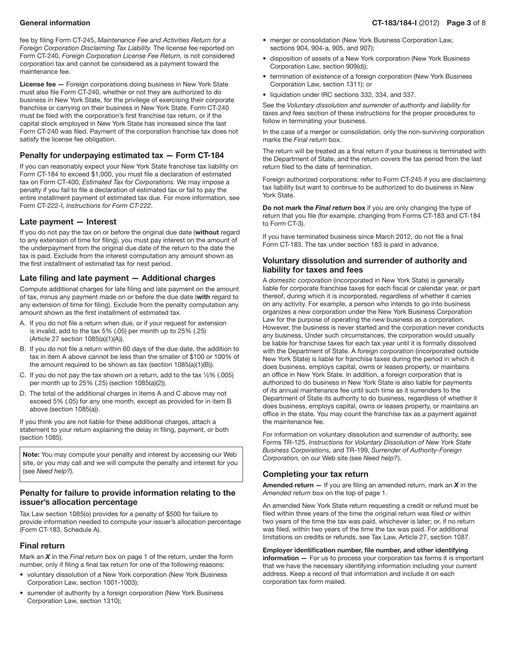fee by filing Form CT-245, *Maintenance Fee and Activities Return for a Foreign Corporation Disclaiming Tax Liability.* The license fee reported on Form CT-240, *Foreign Corporation License Fee Return,* is not considered corporation tax and cannot be considered as a payment toward the maintenance fee.

License fee - Foreign corporations doing business in New York State must also file Form CT-240, whether or not they are authorized to do business in New York State, for the privilege of exercising their corporate franchise or carrying on their business in New York State. Form CT-240 must be filed with the corporation's first franchise tax return, or if the capital stock employed in New York State has increased since the last Form CT-240 was filed. Payment of the corporation franchise tax does not satisfy the license fee obligation.

## Penalty for underpaying estimated tax — Form CT-184

If you can reasonably expect your New York State franchise tax liability on Form CT-184 to exceed \$1,000, you must file a declaration of estimated tax on Form CT-400, *Estimated Tax for Corporations.* We may impose a penalty if you fail to file a declaration of estimated tax or fail to pay the entire installment payment of estimated tax due. For more information, see Form CT-222-I, *Instructions for Form CT-222*.

## Late payment — Interest

If you do not pay the tax on or before the original due date (without regard to any extension of time for filing), you must pay interest on the amount of the underpayment from the original due date of the return to the date the tax is paid. Exclude from the interest computation any amount shown as the first installment of estimated tax for next period.

## Late filing and late payment — Additional charges

Compute additional charges for late filing and late payment on the amount of tax, minus any payment made on or before the due date (with regard to any extension of time for filing). Exclude from the penalty computation any amount shown as the first installment of estimated tax.

- A. If you do not file a return when due, or if your request for extension is invalid, add to the tax 5% (.05) per month up to 25% (.25) (Article 27 section 1085(a)(1)(A)).
- B. If you do not file a return within 60 days of the due date, the addition to tax in item A above cannot be less than the smaller of \$100 or 100% of the amount required to be shown as tax (section 1085(a)(1)(B)).
- C. If you do not pay the tax shown on a return, add to the tax  $1/2$ % (.005) per month up to 25% (.25) (section 1085(a)(2)).
- D. The total of the additional charges in items A and C above may not exceed 5% (.05) for any one month, except as provided for in item B above (section 1085(a)).

If you think you are not liable for these additional charges, attach a statement to your return explaining the delay in filing, payment, or both (section 1085).

Note: You may compute your penalty and interest by accessing our Web site, or you may call and we will compute the penalty and interest for you (see *Need help?).*

## Penalty for failure to provide information relating to the issuer's allocation percentage

Tax Law section 1085(o) provides for a penalty of \$500 for failure to provide information needed to compute your issuer's allocation percentage (Form CT-183, Schedule A).

## Final return

Mark an *X* in the *Final return* box on page 1 of the return, under the form number, only if filing a final tax return for one of the following reasons:

- voluntary dissolution of a New York corporation (New York Business Corporation Law, section 1001-1003);
- surrender of authority by a foreign corporation (New York Business Corporation Law, section 1310);
- merger or consolidation (New York Business Corporation Law, sections 904, 904-a, 905, and 907);
- disposition of assets of a New York corporation (New York Business Corporation Law, section 909(d));
- termination of existence of a foreign corporation (New York Business Corporation Law, section 1311); or
- liquidation under IRC sections 332, 334, and 337.

See the *Voluntary dissolution and surrender of authority and liability for taxes and fees* section of these instructions for the proper procedures to follow in terminating your business.

In the case of a merger or consolidation, only the non-surviving corporation marks the *Final return* box.

The return will be treated as a final return if your business is terminated with the Department of State, and the return covers the tax period from the last return filed to the date of termination.

Foreign authorized corporations: refer to Form CT-245 if you are disclaiming tax liability but want to continue to be authorized to do business in New York State.

Do not mark the *Final return* box if you are only changing the type of return that you file (for example, changing from Forms CT-183 and CT-184 to Form CT‑3).

If you have terminated business since March 2012, do not file a final Form CT-183. The tax under section 183 is paid in advance.

## Voluntary dissolution and surrender of authority and liability for taxes and fees

A *domestic corporation* (incorporated in New York State) is generally liable for corporate franchise taxes for each fiscal or calendar year, or part thereof, during which it is incorporated, regardless of whether it carries on any activity. For example, a person who intends to go into business organizes a new corporation under the New York Business Corporation Law for the purpose of operating the new business as a corporation. However, the business is never started and the corporation never conducts any business. Under such circumstances, the corporation would usually be liable for franchise taxes for each tax year until it is formally dissolved with the Department of State. A *foreign corporation* (incorporated outside New York State) is liable for franchise taxes during the period in which it does business, employs capital, owns or leases property, or maintains an office in New York State. In addition, a foreign corporation that is authorized to do business in New York State is also liable for payments of its annual maintenance fee until such time as it surrenders to the Department of State its authority to do business, regardless of whether it does business, employs capital, owns or leases property, or maintains an office in the state. You may count the franchise tax as a payment against the maintenance fee.

For information on voluntary dissolution and surrender of authority, see Forms TR-125, *Instructions for Voluntary Dissolution of New York State Business Corporations,* and TR-199, *Surrender of Authority-Foreign Corporation,* on our Web site (see *Need help?*).

## Completing your tax return

Amended return — If you are filing an amended return, mark an *X* in the *Amended return* box on the top of page 1.

An amended New York State return requesting a credit or refund must be filed within three years of the time the original return was filed or within two years of the time the tax was paid, whichever is later; or, if no return was filed, within two years of the time the tax was paid. For additional limitations on credits or refunds, see Tax Law, Article 27, section 1087.

# Employer identification number, file number, and other identifying

 $information - For us to process your corporation tax forms it is important.$ that we have the necessary identifying information including your current address. Keep a record of that information and include it on each corporation tax form mailed.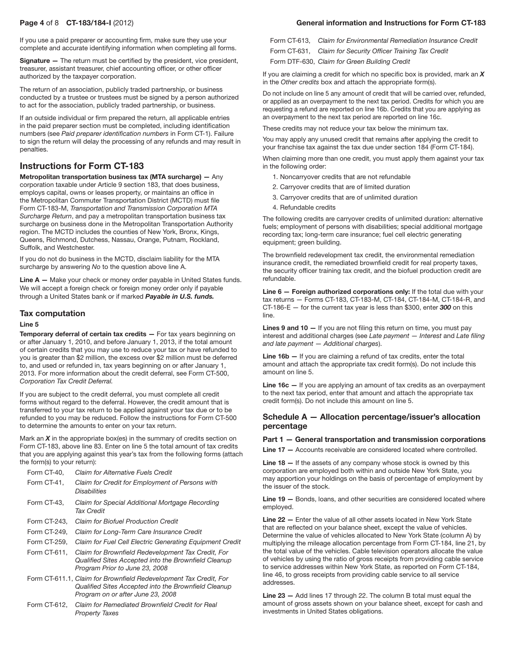If you use a paid preparer or accounting firm, make sure they use your complete and accurate identifying information when completing all forms.

Signature - The return must be certified by the president, vice president, treasurer, assistant treasurer, chief accounting officer, or other officer authorized by the taxpayer corporation.

The return of an association, publicly traded partnership, or business conducted by a trustee or trustees must be signed by a person authorized to act for the association, publicly traded partnership, or business.

If an outside individual or firm prepared the return, all applicable entries in the paid preparer section must be completed, including identification numbers (see *Paid preparer identification numbers* in Form CT-1). Failure to sign the return will delay the processing of any refunds and may result in penalties.

## Instructions for Form CT-183

Metropolitan transportation business tax (MTA surcharge) — Any corporation taxable under Article 9 section 183, that does business, employs capital, owns or leases property, or maintains an office in the Metropolitan Commuter Transportation District (MCTD) must file Form CT-183-M, *Transportation and Transmission Corporation MTA Surcharge Return*, and pay a metropolitan transportation business tax surcharge on business done in the Metropolitan Transportation Authority region. The MCTD includes the counties of New York, Bronx, Kings, Queens, Richmond, Dutchess, Nassau, Orange, Putnam, Rockland, Suffolk, and Westchester.

If you do not do business in the MCTD, disclaim liability for the MTA surcharge by answering *No* to the question above line A.

Line A — Make your check or money order payable in United States funds. We will accept a foreign check or foreign money order only if payable through a United States bank or if marked *Payable in U.S. funds.*

## Tax computation

#### Line 5

Temporary deferral of certain tax credits - For tax years beginning on or after January 1, 2010, and before January 1, 2013, if the total amount of certain credits that you may use to reduce your tax or have refunded to you is greater than \$2 million, the excess over \$2 million must be deferred to, and used or refunded in, tax years beginning on or after January 1, 2013. For more information about the credit deferral, see Form CT-500, *Corporation Tax Credit Deferral.*

If you are subject to the credit deferral, you must complete all credit forms without regard to the deferral. However, the credit amount that is transferred to your tax return to be applied against your tax due or to be refunded to you may be reduced. Follow the instructions for Form CT-500 to determine the amounts to enter on your tax return.

Mark an *X* in the appropriate box(es) in the summary of credits section on Form CT-183, above line 83. Enter on line 5 the total amount of tax credits that you are applying against this year's tax from the following forms (attach the form(s) to your return):

|  | Form CT-40.  | Claim for Alternative Fuels Credit                                                                                                                             |
|--|--------------|----------------------------------------------------------------------------------------------------------------------------------------------------------------|
|  | Form CT-41,  | Claim for Credit for Employment of Persons with<br><b>Disabilities</b>                                                                                         |
|  | Form CT-43.  | Claim for Special Additional Mortgage Recording<br>Tax Credit                                                                                                  |
|  | Form CT-243. | <b>Claim for Biofuel Production Credit</b>                                                                                                                     |
|  | Form CT-249, | Claim for Long-Term Care Insurance Credit                                                                                                                      |
|  | Form CT-259. | Claim for Fuel Cell Electric Generating Equipment Credit                                                                                                       |
|  | Form CT-611, | Claim for Brownfield Redevelopment Tax Credit, For<br>Qualified Sites Accepted into the Brownfield Cleanup<br>Program Prior to June 23, 2008                   |
|  |              | Form CT-611.1, Claim for Brownfield Redevelopment Tax Credit, For<br>Qualified Sites Accepted into the Brownfield Cleanup<br>Program on or after June 23, 2008 |
|  |              |                                                                                                                                                                |

 Form CT-612, *Claim for Remediated Brownfield Credit for Real Property Taxes*

## Page 4 of 8 CT-183/184-I (2012) General information and Instructions for Form CT-183

Form CT-613, *Claim for Environmental Remediation Insurance Credit*

Form CT-631, *Claim for Security Officer Training Tax Credit*

Form DTF-630, *Claim for Green Building Credit*

If you are claiming a credit for which no specific box is provided, mark an *X* in the *Other credits* box and attach the appropriate form(s).

Do not include on line 5 any amount of credit that will be carried over, refunded, or applied as an overpayment to the next tax period. Credits for which you are requesting a refund are reported on line 16b. Credits that you are applying as an overpayment to the next tax period are reported on line 16c.

These credits may not reduce your tax below the minimum tax.

You may apply any unused credit that remains after applying the credit to your franchise tax against the tax due under section 184 (Form CT-184).

When claiming more than one credit, you must apply them against your tax in the following order:

- 1. Noncarryover credits that are not refundable
- 2. Carryover credits that are of limited duration
- 3. Carryover credits that are of unlimited duration
- 4. Refundable credits

The following credits are carryover credits of unlimited duration: alternative fuels; employment of persons with disabilities; special additional mortgage recording tax; long-term care insurance; fuel cell electric generating equipment; green building.

The brownfield redevelopment tax credit, the environmental remediation insurance credit, the remediated brownfield credit for real property taxes, the security officer training tax credit, and the biofuel production credit are refundable.

Line 6 - Foreign authorized corporations only: If the total due with your tax returns — Forms CT-183, CT-183-M, CT‑184, CT‑184‑M, CT‑184-R, and CT-186-E — for the current tax year is less than \$300, enter *300* on this line.

Lines 9 and 10 - If you are not filing this return on time, you must pay interest and additional charges (see *Late payment* — *Interest* and *Late filing and late payment* — *Additional charges*).

Line 16b – If you are claiming a refund of tax credits, enter the total amount and attach the appropriate tax credit form(s). Do not include this amount on line 5.

Line 16c - If you are applying an amount of tax credits as an overpayment to the next tax period, enter that amount and attach the appropriate tax credit form(s). Do not include this amount on line 5.

## Schedule A — Allocation percentage/issuer's allocation percentage

#### Part 1 — General transportation and transmission corporations

Line 17 — Accounts receivable are considered located where controlled.

Line  $18 -$  If the assets of any company whose stock is owned by this corporation are employed both within and outside New York State, you may apportion your holdings on the basis of percentage of employment by the issuer of the stock.

Line 19 — Bonds, loans, and other securities are considered located where employed.

Line 22 — Enter the value of all other assets located in New York State that are reflected on your balance sheet, except the value of vehicles. Determine the value of vehicles allocated to New York State (column A) by multiplying the mileage allocation percentage from Form CT-184, line 21, by the total value of the vehicles. Cable television operators allocate the value of vehicles by using the ratio of gross receipts from providing cable service to service addresses within New York State, as reported on Form CT-184, line 46, to gross receipts from providing cable service to all service addresses.

Line 23 - Add lines 17 through 22. The column B total must equal the amount of gross assets shown on your balance sheet, except for cash and investments in United States obligations.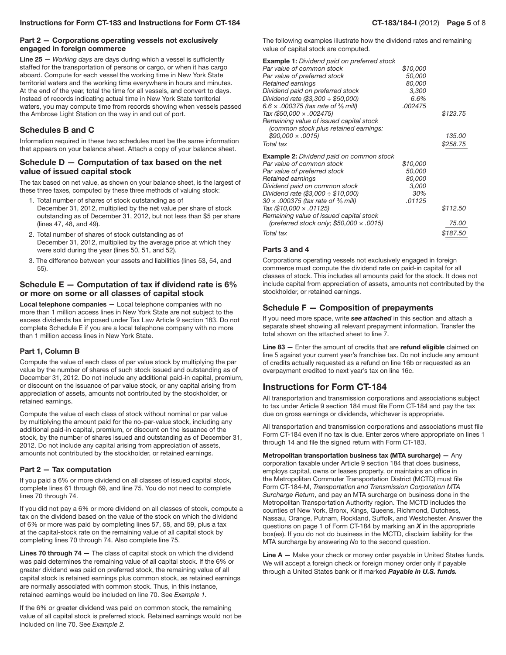## Part 2 — Corporations operating vessels not exclusively engaged in foreign commerce

Line 25 — *Working days* are days during which a vessel is sufficiently staffed for the transportation of persons or cargo, or when it has cargo aboard. Compute for each vessel the working time in New York State territorial waters and the working time everywhere in hours and minutes. At the end of the year, total the time for all vessels, and convert to days. Instead of records indicating actual time in New York State territorial waters, you may compute time from records showing when vessels passed the Ambrose Light Station on the way in and out of port.

## Schedules B and C

Information required in these two schedules must be the same information that appears on your balance sheet. Attach a copy of your balance sheet.

### Schedule D — Computation of tax based on the net value of issued capital stock

The tax based on net value, as shown on your balance sheet, is the largest of these three taxes, computed by these three methods of valuing stock:

- 1. Total number of shares of stock outstanding as of December 31, 2012, multiplied by the net value per share of stock outstanding as of December 31, 2012, but not less than \$5 per share (lines 47, 48, and 49).
- 2. Total number of shares of stock outstanding as of December 31, 2012, multiplied by the average price at which they were sold during the year (lines 50, 51, and 52).
- 3. The difference between your assets and liabilities (lines 53, 54, and 55).

## Schedule  $E -$  Computation of tax if dividend rate is 6% or more on some or all classes of capital stock

Local telephone companies — Local telephone companies with no more than 1 million access lines in New York State are not subject to the excess dividends tax imposed under Tax Law Article 9 section 183. Do not complete Schedule E if you are a local telephone company with no more than 1 million access lines in New York State.

## Part 1, Column B

Compute the value of each class of par value stock by multiplying the par value by the number of shares of such stock issued and outstanding as of December 31, 2012. Do not include any additional paid-in capital, premium, or discount on the issuance of par value stock, or any capital arising from appreciation of assets, amounts not contributed by the stockholder, or retained earnings.

Compute the value of each class of stock without nominal or par value by multiplying the amount paid for the no-par-value stock, including any additional paid-in capital, premium, or discount on the issuance of the stock, by the number of shares issued and outstanding as of December 31, 2012. Do not include any capital arising from appreciation of assets, amounts not contributed by the stockholder, or retained earnings.

## Part 2 — Tax computation

If you paid a 6% or more dividend on all classes of issued capital stock, complete lines 61 through 69, and line 75. You do not need to complete lines 70 through 74.

If you did not pay a 6% or more dividend on all classes of stock, compute a tax on the dividend based on the value of the stock on which the dividend of 6% or more was paid by completing lines 57, 58, and 59, plus a tax at the capital-stock rate on the remaining value of all capital stock by completing lines 70 through 74. Also complete line 75.

Lines 70 through 74 - The class of capital stock on which the dividend was paid determines the remaining value of all capital stock. If the 6% or greater dividend was paid on preferred stock, the remaining value of all capital stock is retained earnings plus common stock, as retained earnings are normally associated with common stock. Thus, in this instance, retained earnings would be included on line 70. See *Example 1.*

If the 6% or greater dividend was paid on common stock, the remaining value of all capital stock is preferred stock. Retained earnings would not be included on line 70. See *Example 2.*

The following examples illustrate how the dividend rates and remaining value of capital stock are computed.

| <b>Example 1:</b> Dividend paid on preferred stock |          |          |
|----------------------------------------------------|----------|----------|
| Par value of common stock                          | \$10,000 |          |
| Par value of preferred stock                       | 50,000   |          |
| Retained earnings                                  | 80,000   |          |
| Dividend paid on preferred stock                   | 3,300    |          |
| Dividend rate (\$3,300 ÷ \$50,000)                 | 6.6%     |          |
| 6.6 x .000375 (tax rate of $\frac{3}{8}$ mill)     | .002475  |          |
| Tax (\$50,000 x .002475)                           |          | \$123.75 |
| Remaining value of issued capital stock            |          |          |
| (common stock plus retained earnings:              |          |          |
| $$90,000 \times .0015$                             |          | 135.00   |
| <b>Total tax</b>                                   |          | \$258.75 |
|                                                    |          |          |
| <b>Example 2:</b> Dividend paid on common stock    |          |          |
| Par value of common stock                          | \$10,000 |          |
| Par value of preferred stock                       | 50,000   |          |
| Retained earnings                                  | 80,000   |          |
| Dividend paid on common stock                      | 3,000    |          |
| Dividend rate (\$3,000 ÷ \$10,000)                 | 30%      |          |
| 30 x .000375 (tax rate of % mill)                  | .01125   |          |
| Tax (\$10,000 $\times$ .01125)                     |          | \$112.50 |
| Remaining value of issued capital stock            |          |          |
| (preferred stock only; $$50,000 \times .0015$ )    |          | 75.00    |
| Total tax                                          |          | \$187.50 |

## Parts 3 and 4

Corporations operating vessels not exclusively engaged in foreign commerce must compute the dividend rate on paid-in capital for all classes of stock. This includes all amounts paid for the stock. It does not include capital from appreciation of assets, amounts not contributed by the stockholder, or retained earnings.

## Schedule F — Composition of prepayments

If you need more space, write *see attached* in this section and attach a separate sheet showing all relevant prepayment information. Transfer the total shown on the attached sheet to line 7.

Line 83 - Enter the amount of credits that are refund eligible claimed on line 5 against your current year's franchise tax. Do not include any amount of credits actually requested as a refund on line 16b or requested as an overpayment credited to next year's tax on line 16c.

## Instructions for Form CT-184

All transportation and transmission corporations and associations subject to tax under Article 9 section 184 must file Form CT-184 and pay the tax due on gross earnings or dividends, whichever is appropriate.

All transportation and transmission corporations and associations must file Form CT-184 even if no tax is due. Enter zeros where appropriate on lines 1 through 14 and file the signed return with Form CT-183.

Metropolitan transportation business tax (MTA surcharge) — Any corporation taxable under Article 9 section 184 that does business, employs capital, owns or leases property, or maintains an office in the Metropolitan Commuter Transportation District (MCTD) must file Form CT-184-M, *Transportation and Transmission Corporation MTA Surcharge Return*, and pay an MTA surcharge on business done in the Metropolitan Transportation Authority region. The MCTD includes the counties of New York, Bronx, Kings, Queens, Richmond, Dutchess, Nassau, Orange, Putnam, Rockland, Suffolk, and Westchester. Answer the questions on page 1 of Form CT-184 by marking an *X* in the appropriate box(es). If you do not do business in the MCTD, disclaim liability for the MTA surcharge by answering *No* to the second question.

Line A - Make your check or money order payable in United States funds. We will accept a foreign check or foreign money order only if payable through a United States bank or if marked *Payable in U.S. funds.*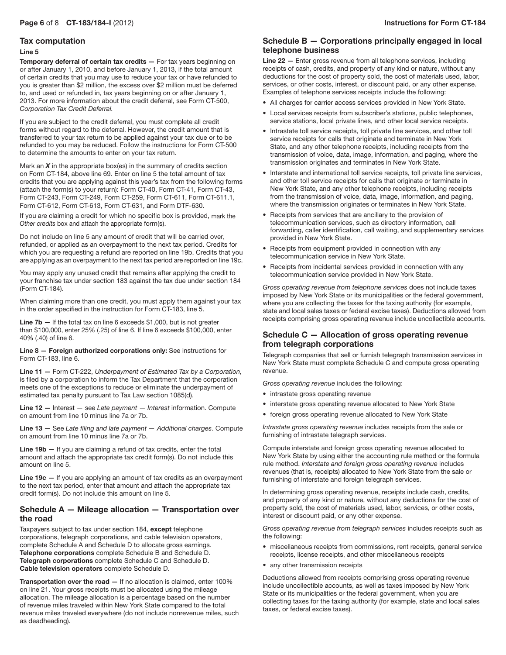## Tax computation

#### Line 5

Temporary deferral of certain tax credits - For tax years beginning on or after January 1, 2010, and before January 1, 2013, if the total amount of certain credits that you may use to reduce your tax or have refunded to you is greater than \$2 million, the excess over \$2 million must be deferred to, and used or refunded in, tax years beginning on or after January 1, 2013. For more information about the credit deferral, see Form CT-500, *Corporation Tax Credit Deferral.*

If you are subject to the credit deferral, you must complete all credit forms without regard to the deferral. However, the credit amount that is transferred to your tax return to be applied against your tax due or to be refunded to you may be reduced. Follow the instructions for Form CT-500 to determine the amounts to enter on your tax return.

Mark an *X* in the appropriate box(es) in the summary of credits section on Form CT-184, above line 69. Enter on line 5 the total amount of tax credits that you are applying against this year's tax from the following forms (attach the form(s) to your return): Form CT-40, Form CT-41, Form CT-43, Form CT-243, Form CT-249, Form CT-259, Form CT-611, Form CT-611.1, Form CT-612, Form CT-613, Form CT-631, and Form DTF-630.

If you are claiming a credit for which no specific box is provided, mark the *Other credits* box and attach the appropriate form(s).

Do not include on line 5 any amount of credit that will be carried over, refunded, or applied as an overpayment to the next tax period. Credits for which you are requesting a refund are reported on line 19b. Credits that you are applying as an overpayment to the next tax period are reported on line 19c.

You may apply any unused credit that remains after applying the credit to your franchise tax under section 183 against the tax due under section 184 (Form CT-184).

When claiming more than one credit, you must apply them against your tax in the order specified in the instruction for Form CT-183, line 5.

**Line 7b – If the total tax on line 6 exceeds \$1,000, but is not greater** than \$100,000, enter 25% (.25) of line 6. If line 6 exceeds \$100,000, enter 40% (.40) of line 6.

Line 8 — Foreign authorized corporations only: See instructions for Form CT-183, line 6.

Line 11 — Form CT-222, *Underpayment of Estimated Tax by a Corporation,* is filed by a corporation to inform the Tax Department that the corporation meets one of the exceptions to reduce or eliminate the underpayment of estimated tax penalty pursuant to Tax Law section 1085(d).

Line 12 — Interest — see *Late payment* — *Interest* information. Compute on amount from line 10 minus line 7a or 7b.

Line 13 — See *Late filing and late payment — Additional charges*. Compute on amount from line 10 minus line 7a or 7b.

Line 19b - If you are claiming a refund of tax credits, enter the total amount and attach the appropriate tax credit form(s). Do not include this amount on line 5.

Line 19c - If you are applying an amount of tax credits as an overpayment to the next tax period, enter that amount and attach the appropriate tax credit form(s). Do not include this amount on line 5.

## Schedule A — Mileage allocation — Transportation over the road

Taxpayers subject to tax under section 184, except telephone corporations, telegraph corporations, and cable television operators, complete Schedule A and Schedule D to allocate gross earnings. Telephone corporations complete Schedule B and Schedule D. Telegraph corporations complete Schedule C and Schedule D. Cable television operators complete Schedule D.

Transportation over the road — If no allocation is claimed, enter 100% on line 21. Your gross receipts must be allocated using the mileage allocation. The mileage allocation is a percentage based on the number of revenue miles traveled within New York State compared to the total revenue miles traveled everywhere (do not include nonrevenue miles, such as deadheading).

## Schedule B — Corporations principally engaged in local telephone business

Line 22 - Enter gross revenue from all telephone services, including receipts of cash, credits, and property of any kind or nature, without any deductions for the cost of property sold, the cost of materials used, labor, services, or other costs, interest, or discount paid, or any other expense. Examples of telephone services receipts include the following:

- All charges for carrier access services provided in New York State.
- • Local services receipts from subscriber's stations, public telephones, service stations, local private lines, and other local service receipts.
- Intrastate toll service receipts, toll private line services, and other toll service receipts for calls that originate and terminate in New York State, and any other telephone receipts, including receipts from the transmission of voice, data, image, information, and paging, where the transmission originates and terminates in New York State.
- Interstate and international toll service receipts, toll private line services, and other toll service receipts for calls that originate or terminate in New York State, and any other telephone receipts, including receipts from the transmission of voice, data, image, information, and paging, where the transmission originates or terminates in New York State.
- • Receipts from services that are ancillary to the provision of telecommunication services, such as directory information, call forwarding, caller identification, call waiting, and supplementary services provided in New York State.
- Receipts from equipment provided in connection with any telecommunication service in New York State.
- Receipts from incidental services provided in connection with any telecommunication service provided in New York State.

*Gross operating revenue from telephone services* does not include taxes imposed by New York State or its municipalities or the federal government, where you are collecting the taxes for the taxing authority (for example, state and local sales taxes or federal excise taxes). Deductions allowed from receipts comprising gross operating revenue include uncollectible accounts.

## Schedule C — Allocation of gross operating revenue from telegraph corporations

Telegraph companies that sell or furnish telegraph transmission services in New York State must complete Schedule C and compute gross operating revenue.

*Gross operating revenue* includes the following:

- intrastate gross operating revenue
- interstate gross operating revenue allocated to New York State
- foreign gross operating revenue allocated to New York State

*Intrastate gross operating revenue* includes receipts from the sale or furnishing of intrastate telegraph services.

Compute interstate and foreign gross operating revenue allocated to New York State by using either the accounting rule method or the formula rule method. *Interstate and foreign gross operating revenue* includes revenues (that is, receipts) allocated to New York State from the sale or furnishing of interstate and foreign telegraph services.

In determining gross operating revenue, receipts include cash, credits, and property of any kind or nature, without any deductions for the cost of property sold, the cost of materials used, labor, services, or other costs, interest or discount paid, or any other expense.

*Gross operating revenue from telegraph services* includes receipts such as the following:

- • miscellaneous receipts from commissions, rent receipts, general service receipts, license receipts, and other miscellaneous receipts
- any other transmission receipts

Deductions allowed from receipts comprising gross operating revenue include uncollectible accounts, as well as taxes imposed by New York State or its municipalities or the federal government, when you are collecting taxes for the taxing authority (for example, state and local sales taxes, or federal excise taxes).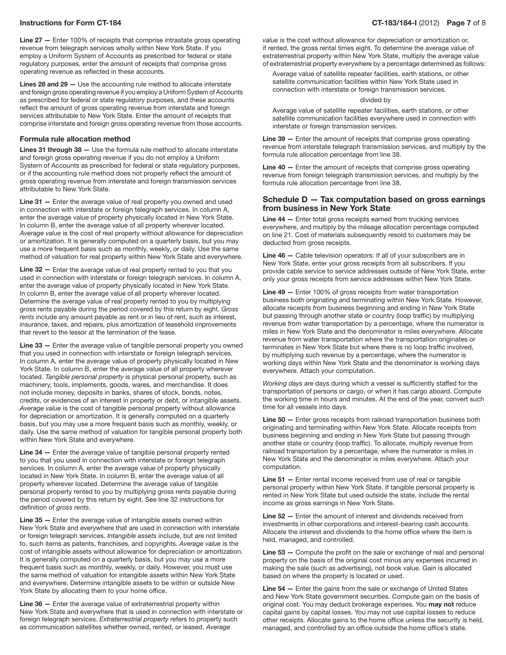Line 27 — Enter 100% of receipts that comprise intrastate gross operating revenue from telegraph services wholly within New York State. If you employ a Uniform System of Accounts as prescribed for federal or state regulatory purposes, enter the amount of receipts that comprise gross operating revenue as reflected in these accounts.

Lines 28 and 29 — Use the accounting rule method to allocate interstate and foreign gross operating revenue if you employ a Uniform System of Accounts as prescribed for federal or state regulatory purposes, and these accounts reflect the amount of gross operating revenue from interstate and foreign services attributable to New York State. Enter the amount of receipts that comprise interstate and foreign gross operating revenue from those accounts.

#### Formula rule allocation method

Lines 31 through 38 - Use the formula rule method to allocate interstate and foreign gross operating revenue if you do not employ a Uniform System of Accounts as prescribed for federal or state regulatory purposes, or if the accounting rule method does not properly reflect the amount of gross operating revenue from interstate and foreign transmission services attributable to New York State.

Line 31 - Enter the average value of real property you owned and used in connection with interstate or foreign telegraph services. In column A, enter the average value of property physically located in New York State. In column B, enter the average value of all property wherever located. *Average value* is the cost of real property without allowance for depreciation or amortization. It is generally computed on a quarterly basis, but you may use a more frequent basis such as monthly, weekly, or daily. Use the same method of valuation for real property within New York State and everywhere.

Line 32 – Enter the average value of real property rented to you that you used in connection with interstate or foreign telegraph services. In column A, enter the average value of property physically located in New York State. In column B, enter the average value of all property wherever located. Determine the average value of real property rented to you by multiplying gross rents payable during the period covered by this return by eight. *Gross rents* include any amount payable as rent or in lieu of rent, such as interest, insurance, taxes, and repairs, plus amortization of leasehold improvements that revert to the lessor at the termination of the lease.

Line 33 - Enter the average value of tangible personal property you owned that you used in connection with interstate or foreign telegraph services. In column A, enter the average value of property physically located in New York State. In column B, enter the average value of all property wherever located. *Tangible personal property* is physical personal property, such as machinery, tools, implements, goods, wares, and merchandise. It does not include money, deposits in banks, shares of stock, bonds, notes, credits, or evidences of an interest in property or debt, or intangible assets. *Average value* is the cost of tangible personal property without allowance for depreciation or amortization. It is generally computed on a quarterly basis, but you may use a more frequent basis such as monthly, weekly, or daily. Use the same method of valuation for tangible personal property both within New York State and everywhere.

Line 34 — Enter the average value of tangible personal property rented to you that you used in connection with interstate or foreign telegraph services. In column A, enter the average value of property physically located in New York State. In column B, enter the average value of all property wherever located. Determine the average value of tangible personal property rented to you by multiplying gross rents payable during the period covered by this return by eight. See line 32 instructions for definition of *gross rents*.

Line 35 - Enter the average value of intangible assets owned within New York State and everywhere that are used in connection with interstate or foreign telegraph services. *Intangible assets* include, but are not limited to, such items as patents, franchises, and copyrights. *Average value* is the cost of intangible assets without allowance for depreciation or amortization. It is generally computed on a quarterly basis, but you may use a more frequent basis such as monthly, weekly, or daily. However, you must use the same method of valuation for intangible assets within New York State and everywhere. Determine intangible assets to be within or outside New York State by allocating them to your home office.

Line 36 — Enter the average value of extraterrestrial property within New York State and everywhere that is used in connection with interstate or foreign telegraph services. *Extraterrestrial property* refers to property such as communication satellites whether owned, rented, or leased. *Average* 

value is the cost without allowance for depreciation or amortization or, if rented, the gross rental times eight. To determine the average value of extraterrestrial property within New York State, multiply the average value of extraterrestrial property everywhere by a percentage determined as follows:

Average value of satellite repeater facilities, earth stations, or other satellite communication facilities within New York State used in connection with interstate or foreign transmission services.

#### divided by

Average value of satellite repeater facilities, earth stations, or other satellite communication facilities everywhere used in connection with interstate or foreign transmission services.

Line 39 – Enter the amount of receipts that comprise gross operating revenue from interstate telegraph transmission services, and multiply by the formula rule allocation percentage from line 38.

Line 40 - Enter the amount of receipts that comprise gross operating revenue from foreign telegraph transmission services, and multiply by the formula rule allocation percentage from line 38.

## Schedule D — Tax computation based on gross earnings from business in New York State

Line 44 - Enter total gross receipts earned from trucking services everywhere, and multiply by the mileage allocation percentage computed on line 21. Cost of materials subsequently resold to customers may be deducted from gross receipts.

Line 46 - Cable television operators: If all of your subscribers are in New York State, enter your gross receipts from all subscribers. If you provide cable service to service addresses outside of New York State, enter only your gross receipts from service addresses within New York State.

Line 49 — Enter 100% of gross receipts from water transportation business both originating and terminating within New York State. However, allocate receipts from business beginning and ending in New York State but passing through another state or country (loop traffic) by multiplying revenue from water transportation by a percentage, where the numerator is miles in New York State and the denominator is miles everywhere. Allocate revenue from water transportation where the transportation originates or terminates in New York State but where there is no loop traffic involved, by multiplying such revenue by a percentage, where the numerator is working days within New York State and the denominator is working days everywhere. Attach your computation.

*Working days* are days during which a vessel is sufficiently staffed for the transportation of persons or cargo, or when it has cargo aboard. Compute the working time in hours and minutes. At the end of the year, convert such time for all vessels into days.

Line 50 - Enter gross receipts from railroad transportation business both originating and terminating within New York State. Allocate receipts from business beginning and ending in New York State but passing through another state or country (loop traffic). To allocate, multiply revenue from railroad transportation by a percentage, where the numerator is miles in New York State and the denominator is miles everywhere. Attach your computation.

Line 51 — Enter rental income received from use of real or tangible personal property within New York State. If tangible personal property is rented in New York State but used outside the state, include the rental income as gross earnings in New York State.

Line 52 — Enter the amount of interest and dividends received from investments in other corporations and interest-bearing cash accounts. Allocate the interest and dividends to the home office where the item is held, managed, and controlled.

Line 53 – Compute the profit on the sale or exchange of real and personal property on the basis of the original cost minus any expenses incurred in making the sale (such as advertising), not book value. Gain is allocated based on where the property is located or used.

Line 54 — Enter the gains from the sale or exchange of United States and New York State government securities. Compute gain on the basis of original cost. You may deduct brokerage expenses. You may not reduce capital gains by capital losses. You may not use capital losses to reduce other receipts. Allocate gains to the home office unless the security is held, managed, and controlled by an office outside the home office's state.